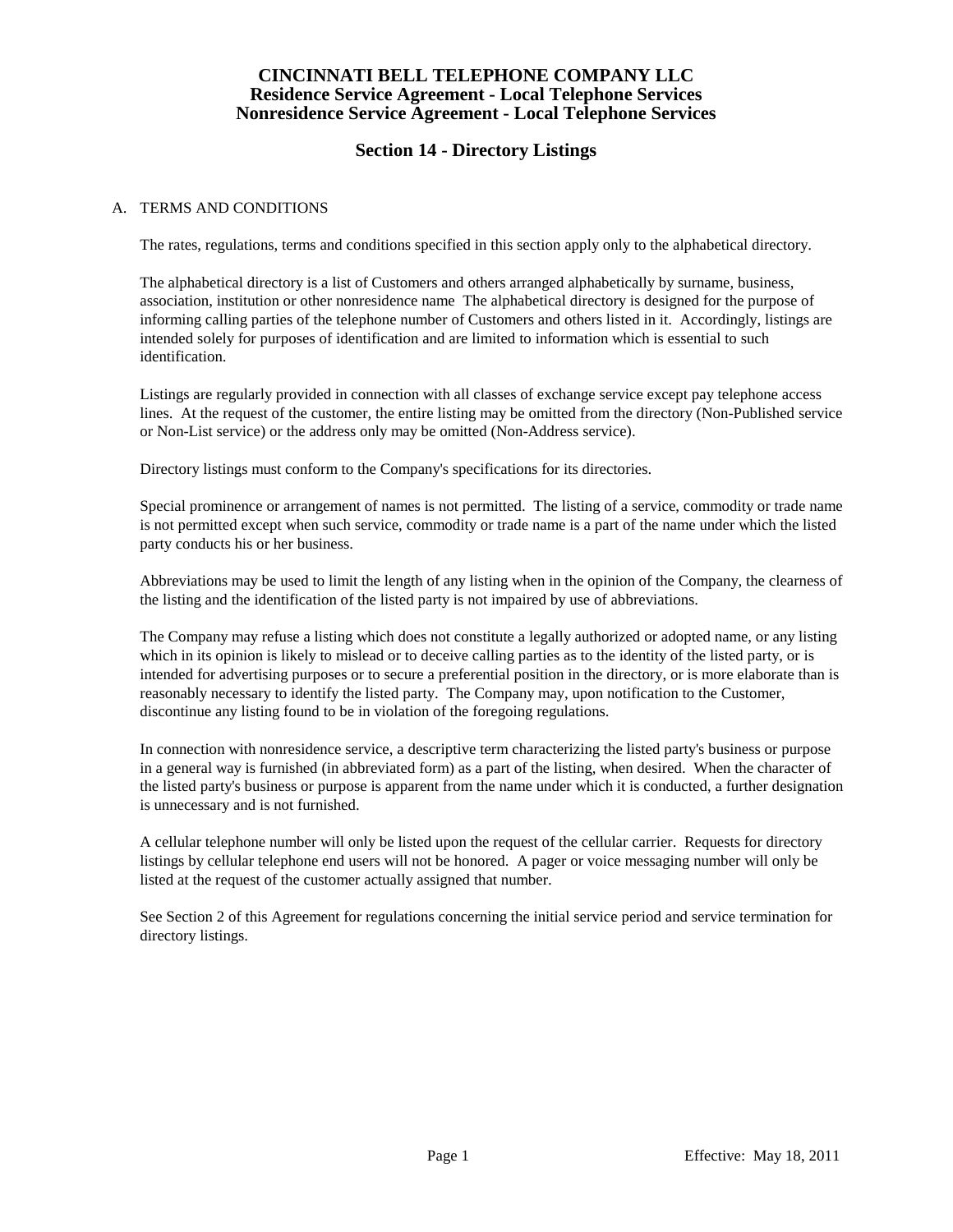# **Section 14 - Directory Listings**

### A. TERMS AND CONDITIONS

The rates, regulations, terms and conditions specified in this section apply only to the alphabetical directory.

The alphabetical directory is a list of Customers and others arranged alphabetically by surname, business, association, institution or other nonresidence name The alphabetical directory is designed for the purpose of informing calling parties of the telephone number of Customers and others listed in it. Accordingly, listings are intended solely for purposes of identification and are limited to information which is essential to such identification.

Listings are regularly provided in connection with all classes of exchange service except pay telephone access lines. At the request of the customer, the entire listing may be omitted from the directory (Non-Published service or Non-List service) or the address only may be omitted (Non-Address service).

Directory listings must conform to the Company's specifications for its directories.

Special prominence or arrangement of names is not permitted. The listing of a service, commodity or trade name is not permitted except when such service, commodity or trade name is a part of the name under which the listed party conducts his or her business.

Abbreviations may be used to limit the length of any listing when in the opinion of the Company, the clearness of the listing and the identification of the listed party is not impaired by use of abbreviations.

The Company may refuse a listing which does not constitute a legally authorized or adopted name, or any listing which in its opinion is likely to mislead or to deceive calling parties as to the identity of the listed party, or is intended for advertising purposes or to secure a preferential position in the directory, or is more elaborate than is reasonably necessary to identify the listed party. The Company may, upon notification to the Customer, discontinue any listing found to be in violation of the foregoing regulations.

In connection with nonresidence service, a descriptive term characterizing the listed party's business or purpose in a general way is furnished (in abbreviated form) as a part of the listing, when desired. When the character of the listed party's business or purpose is apparent from the name under which it is conducted, a further designation is unnecessary and is not furnished.

A cellular telephone number will only be listed upon the request of the cellular carrier. Requests for directory listings by cellular telephone end users will not be honored. A pager or voice messaging number will only be listed at the request of the customer actually assigned that number.

See Section 2 of this Agreement for regulations concerning the initial service period and service termination for directory listings.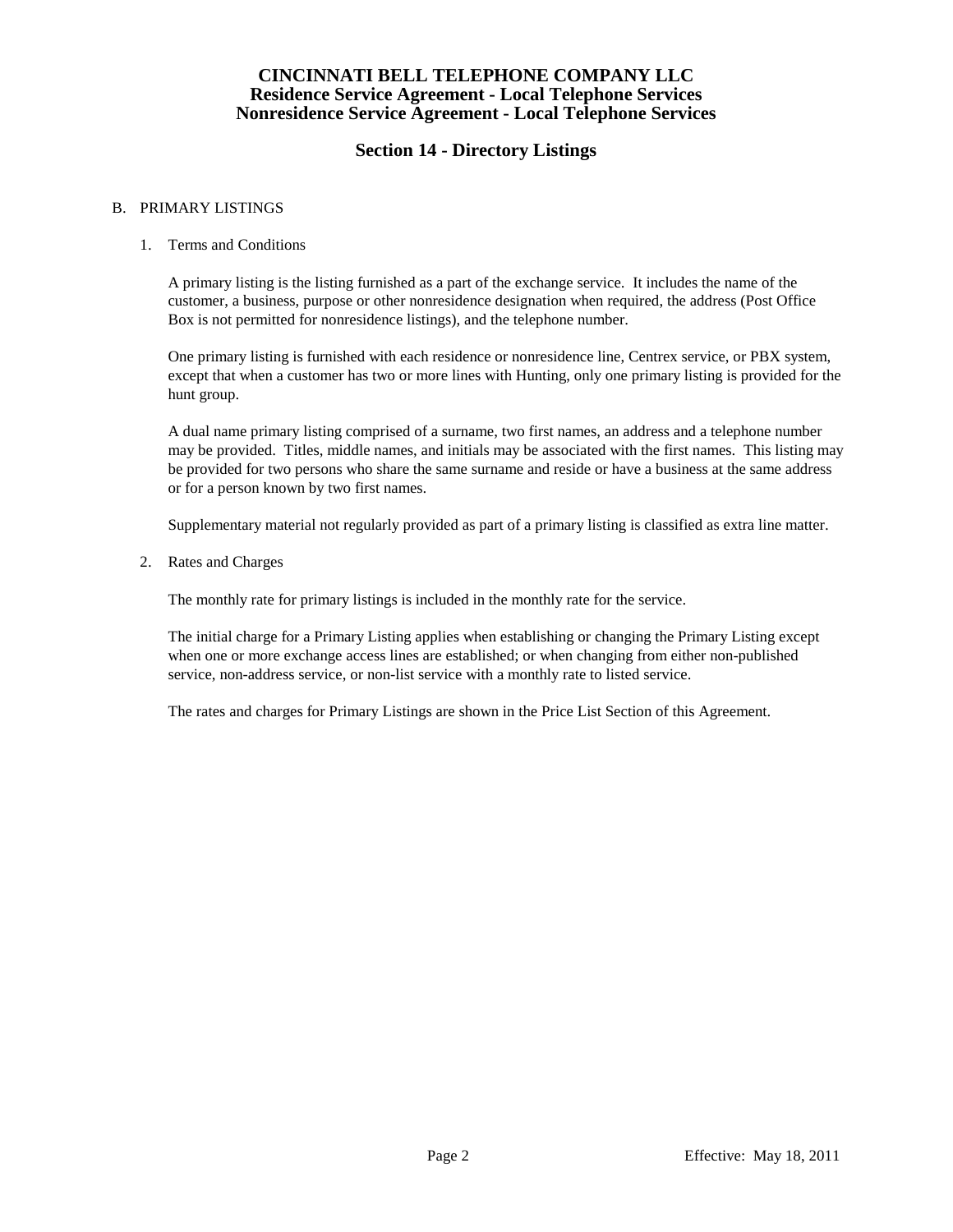# **Section 14 - Directory Listings**

#### B. PRIMARY LISTINGS

### 1. Terms and Conditions

A primary listing is the listing furnished as a part of the exchange service. It includes the name of the customer, a business, purpose or other nonresidence designation when required, the address (Post Office Box is not permitted for nonresidence listings), and the telephone number.

One primary listing is furnished with each residence or nonresidence line, Centrex service, or PBX system, except that when a customer has two or more lines with Hunting, only one primary listing is provided for the hunt group.

A dual name primary listing comprised of a surname, two first names, an address and a telephone number may be provided. Titles, middle names, and initials may be associated with the first names. This listing may be provided for two persons who share the same surname and reside or have a business at the same address or for a person known by two first names.

Supplementary material not regularly provided as part of a primary listing is classified as extra line matter.

2. Rates and Charges

The monthly rate for primary listings is included in the monthly rate for the service.

The initial charge for a Primary Listing applies when establishing or changing the Primary Listing except when one or more exchange access lines are established; or when changing from either non-published service, non-address service, or non-list service with a monthly rate to listed service.

The rates and charges for Primary Listings are shown in the Price List Section of this Agreement.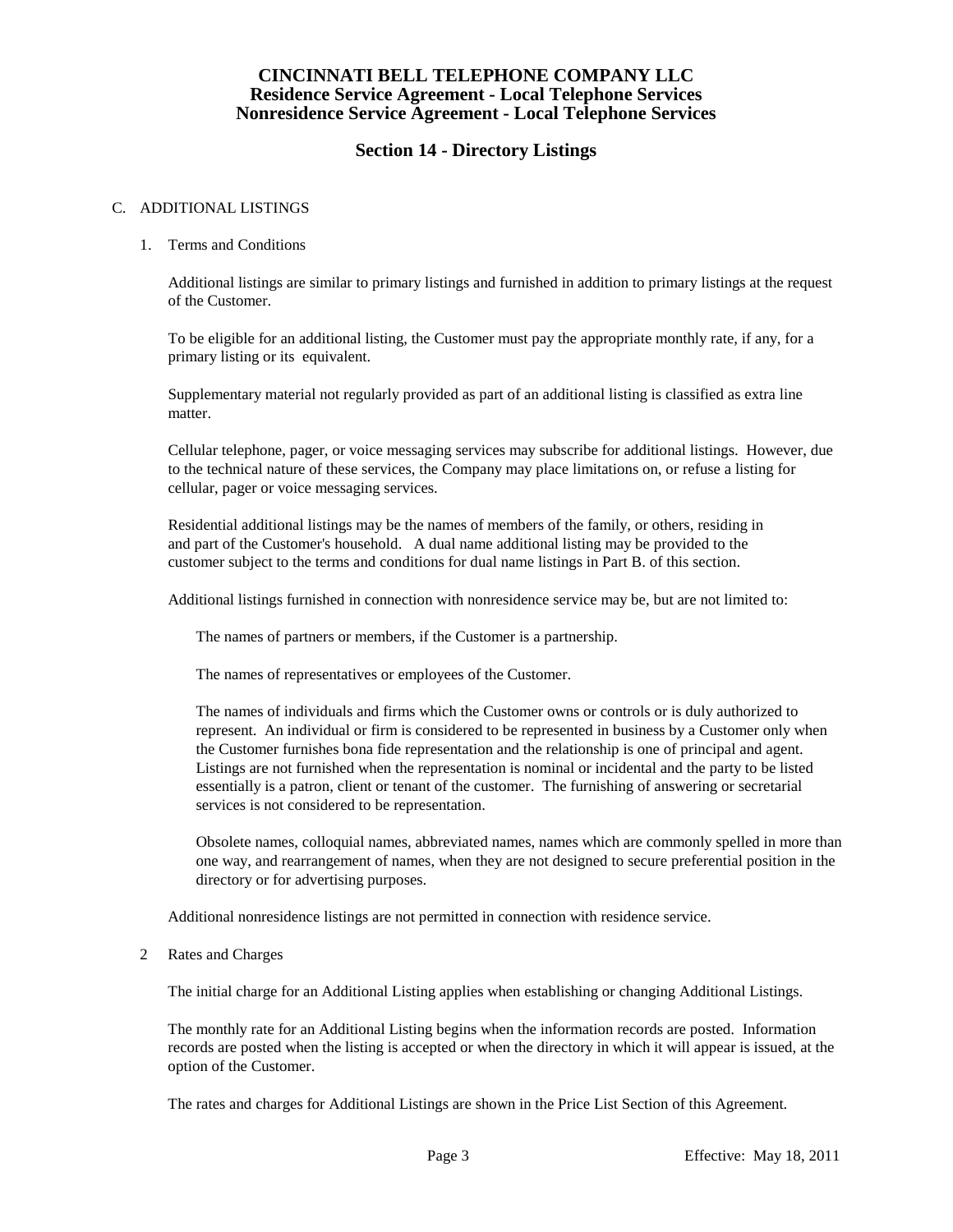# **Section 14 - Directory Listings**

### C. ADDITIONAL LISTINGS

#### 1. Terms and Conditions

Additional listings are similar to primary listings and furnished in addition to primary listings at the request of the Customer.

To be eligible for an additional listing, the Customer must pay the appropriate monthly rate, if any, for a primary listing or its equivalent.

Supplementary material not regularly provided as part of an additional listing is classified as extra line matter.

Cellular telephone, pager, or voice messaging services may subscribe for additional listings. However, due to the technical nature of these services, the Company may place limitations on, or refuse a listing for cellular, pager or voice messaging services.

Residential additional listings may be the names of members of the family, or others, residing in and part of the Customer's household. A dual name additional listing may be provided to the customer subject to the terms and conditions for dual name listings in Part B. of this section.

Additional listings furnished in connection with nonresidence service may be, but are not limited to:

The names of partners or members, if the Customer is a partnership.

The names of representatives or employees of the Customer.

The names of individuals and firms which the Customer owns or controls or is duly authorized to represent. An individual or firm is considered to be represented in business by a Customer only when the Customer furnishes bona fide representation and the relationship is one of principal and agent. Listings are not furnished when the representation is nominal or incidental and the party to be listed essentially is a patron, client or tenant of the customer. The furnishing of answering or secretarial services is not considered to be representation.

Obsolete names, colloquial names, abbreviated names, names which are commonly spelled in more than one way, and rearrangement of names, when they are not designed to secure preferential position in the directory or for advertising purposes.

Additional nonresidence listings are not permitted in connection with residence service.

#### 2 Rates and Charges

The initial charge for an Additional Listing applies when establishing or changing Additional Listings.

The monthly rate for an Additional Listing begins when the information records are posted. Information records are posted when the listing is accepted or when the directory in which it will appear is issued, at the option of the Customer.

The rates and charges for Additional Listings are shown in the Price List Section of this Agreement.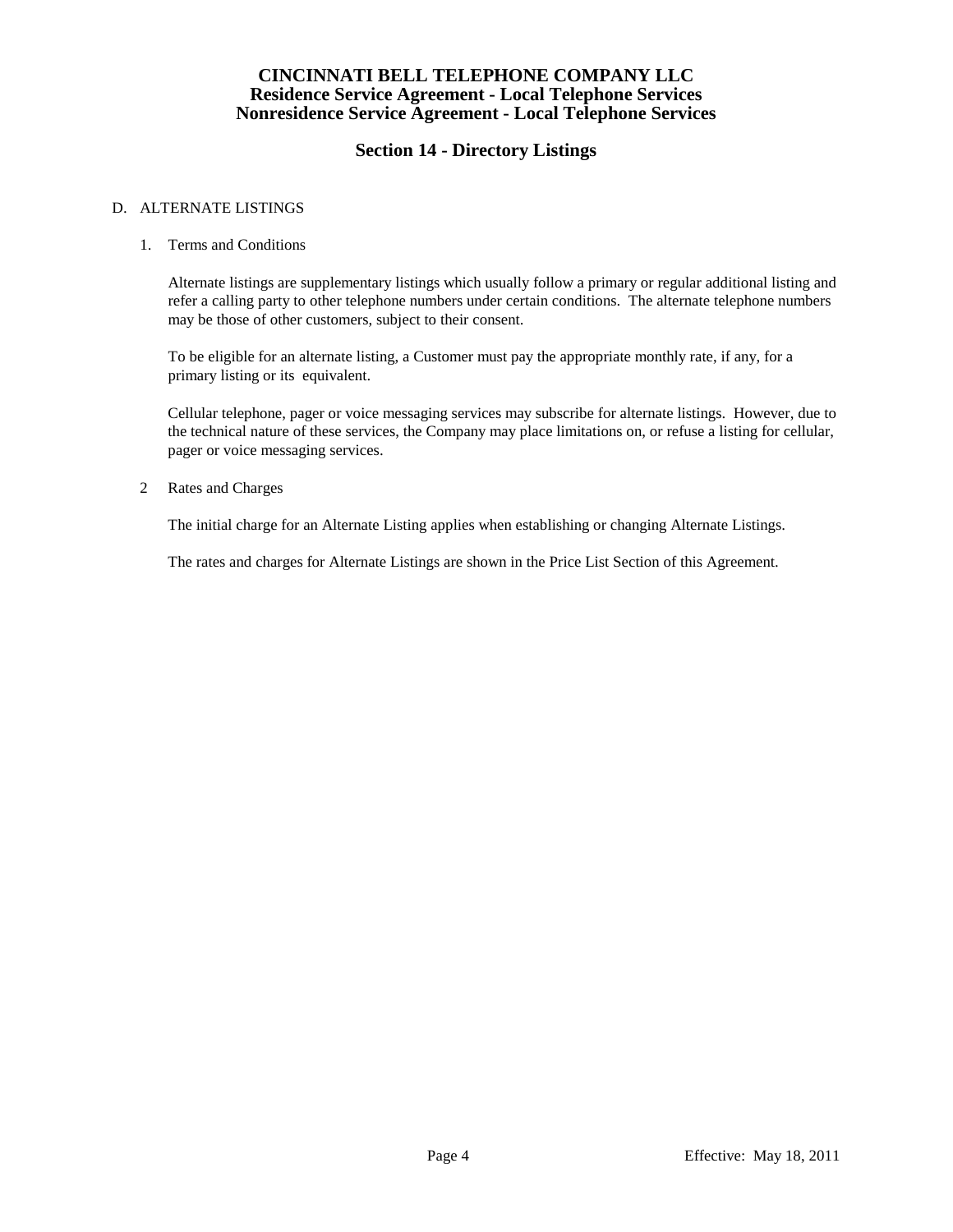# **Section 14 - Directory Listings**

### D. ALTERNATE LISTINGS

#### 1. Terms and Conditions

Alternate listings are supplementary listings which usually follow a primary or regular additional listing and refer a calling party to other telephone numbers under certain conditions. The alternate telephone numbers may be those of other customers, subject to their consent.

To be eligible for an alternate listing, a Customer must pay the appropriate monthly rate, if any, for a primary listing or its equivalent.

Cellular telephone, pager or voice messaging services may subscribe for alternate listings. However, due to the technical nature of these services, the Company may place limitations on, or refuse a listing for cellular, pager or voice messaging services.

#### 2 Rates and Charges

The initial charge for an Alternate Listing applies when establishing or changing Alternate Listings.

The rates and charges for Alternate Listings are shown in the Price List Section of this Agreement.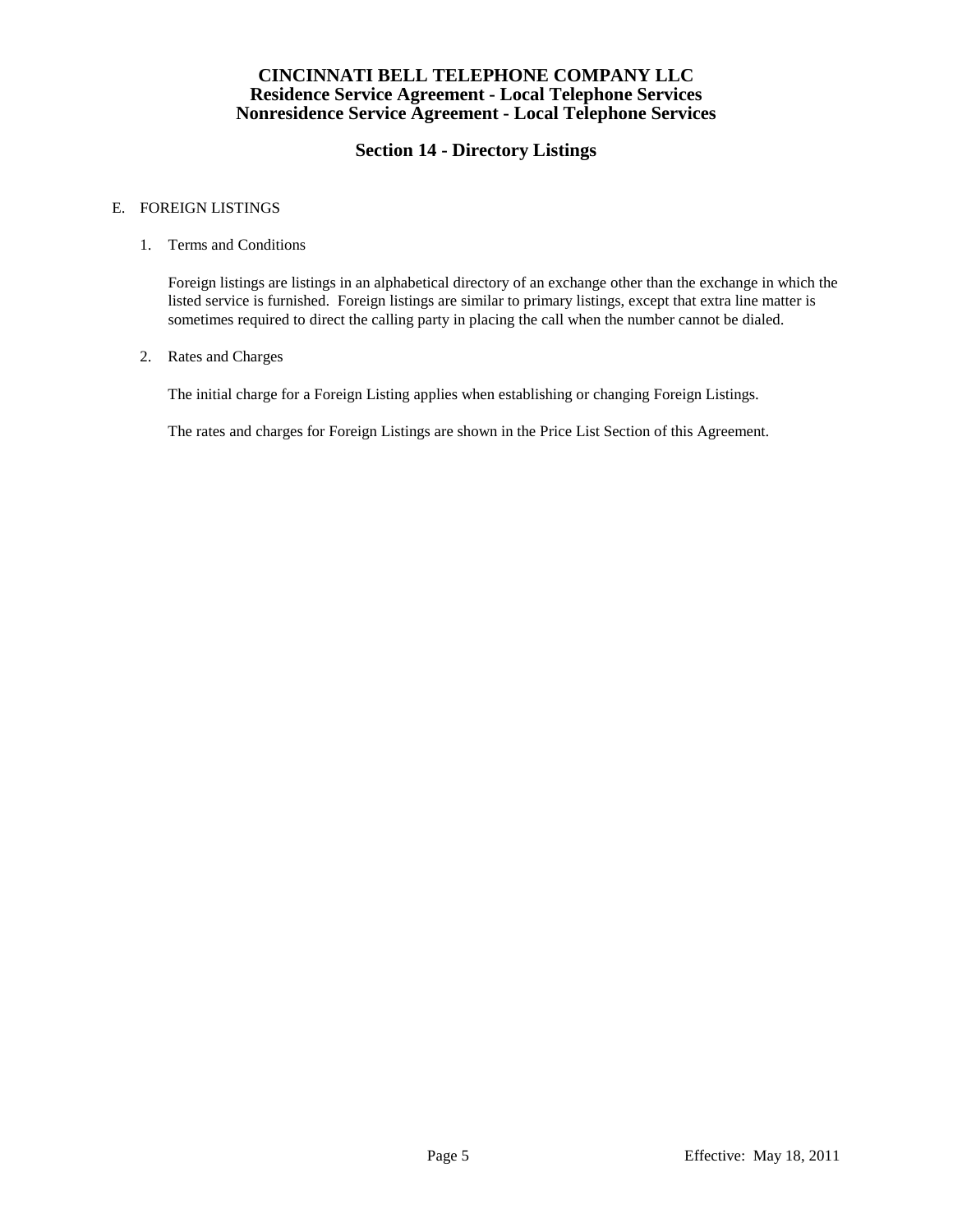# **Section 14 - Directory Listings**

### E. FOREIGN LISTINGS

#### 1. Terms and Conditions

Foreign listings are listings in an alphabetical directory of an exchange other than the exchange in which the listed service is furnished. Foreign listings are similar to primary listings, except that extra line matter is sometimes required to direct the calling party in placing the call when the number cannot be dialed.

#### 2. Rates and Charges

The initial charge for a Foreign Listing applies when establishing or changing Foreign Listings.

The rates and charges for Foreign Listings are shown in the Price List Section of this Agreement.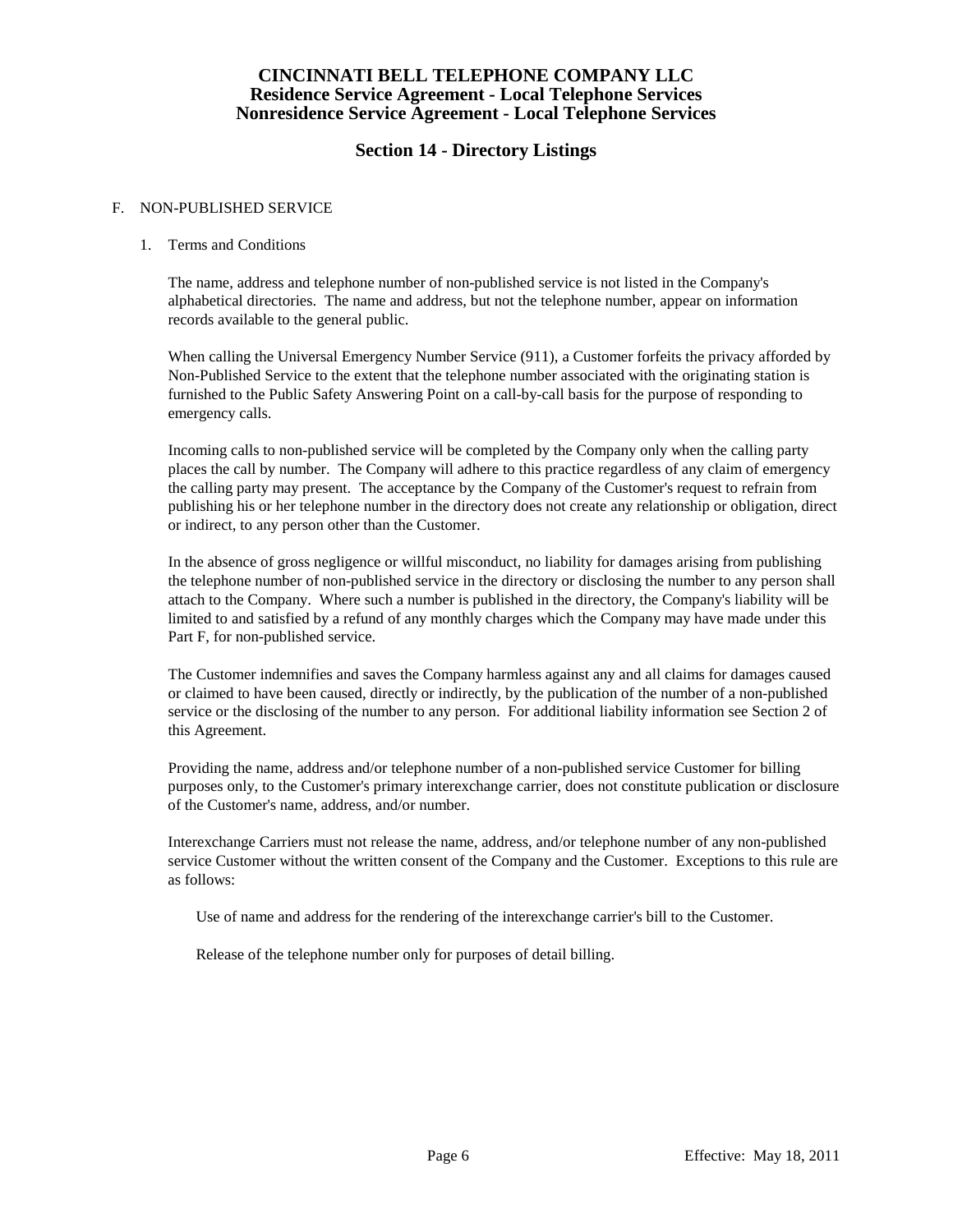# **Section 14 - Directory Listings**

### F. NON-PUBLISHED SERVICE

### 1. Terms and Conditions

The name, address and telephone number of non-published service is not listed in the Company's alphabetical directories. The name and address, but not the telephone number, appear on information records available to the general public.

When calling the Universal Emergency Number Service (911), a Customer forfeits the privacy afforded by Non-Published Service to the extent that the telephone number associated with the originating station is furnished to the Public Safety Answering Point on a call-by-call basis for the purpose of responding to emergency calls.

Incoming calls to non-published service will be completed by the Company only when the calling party places the call by number. The Company will adhere to this practice regardless of any claim of emergency the calling party may present. The acceptance by the Company of the Customer's request to refrain from publishing his or her telephone number in the directory does not create any relationship or obligation, direct or indirect, to any person other than the Customer.

In the absence of gross negligence or willful misconduct, no liability for damages arising from publishing the telephone number of non-published service in the directory or disclosing the number to any person shall attach to the Company. Where such a number is published in the directory, the Company's liability will be limited to and satisfied by a refund of any monthly charges which the Company may have made under this Part F, for non-published service.

The Customer indemnifies and saves the Company harmless against any and all claims for damages caused or claimed to have been caused, directly or indirectly, by the publication of the number of a non-published service or the disclosing of the number to any person. For additional liability information see Section 2 of this Agreement.

Providing the name, address and/or telephone number of a non-published service Customer for billing purposes only, to the Customer's primary interexchange carrier, does not constitute publication or disclosure of the Customer's name, address, and/or number.

Interexchange Carriers must not release the name, address, and/or telephone number of any non-published service Customer without the written consent of the Company and the Customer. Exceptions to this rule are as follows:

Use of name and address for the rendering of the interexchange carrier's bill to the Customer.

Release of the telephone number only for purposes of detail billing.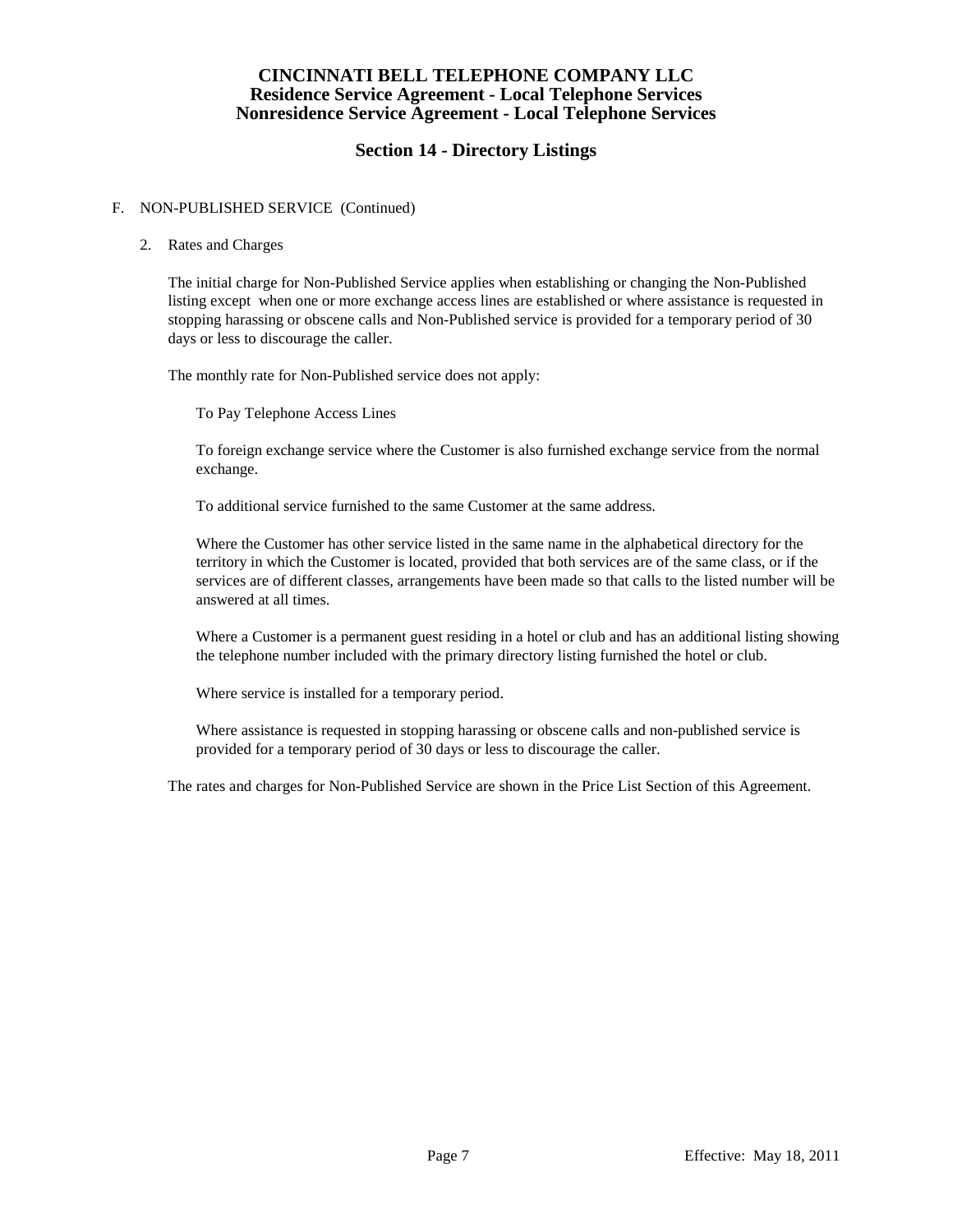# **Section 14 - Directory Listings**

### F. NON-PUBLISHED SERVICE (Continued)

### 2. Rates and Charges

The initial charge for Non-Published Service applies when establishing or changing the Non-Published listing except when one or more exchange access lines are established or where assistance is requested in stopping harassing or obscene calls and Non-Published service is provided for a temporary period of 30 days or less to discourage the caller.

The monthly rate for Non-Published service does not apply:

To Pay Telephone Access Lines

To foreign exchange service where the Customer is also furnished exchange service from the normal exchange.

To additional service furnished to the same Customer at the same address.

Where the Customer has other service listed in the same name in the alphabetical directory for the territory in which the Customer is located, provided that both services are of the same class, or if the services are of different classes, arrangements have been made so that calls to the listed number will be answered at all times.

Where a Customer is a permanent guest residing in a hotel or club and has an additional listing showing the telephone number included with the primary directory listing furnished the hotel or club.

Where service is installed for a temporary period.

Where assistance is requested in stopping harassing or obscene calls and non-published service is provided for a temporary period of 30 days or less to discourage the caller.

The rates and charges for Non-Published Service are shown in the Price List Section of this Agreement.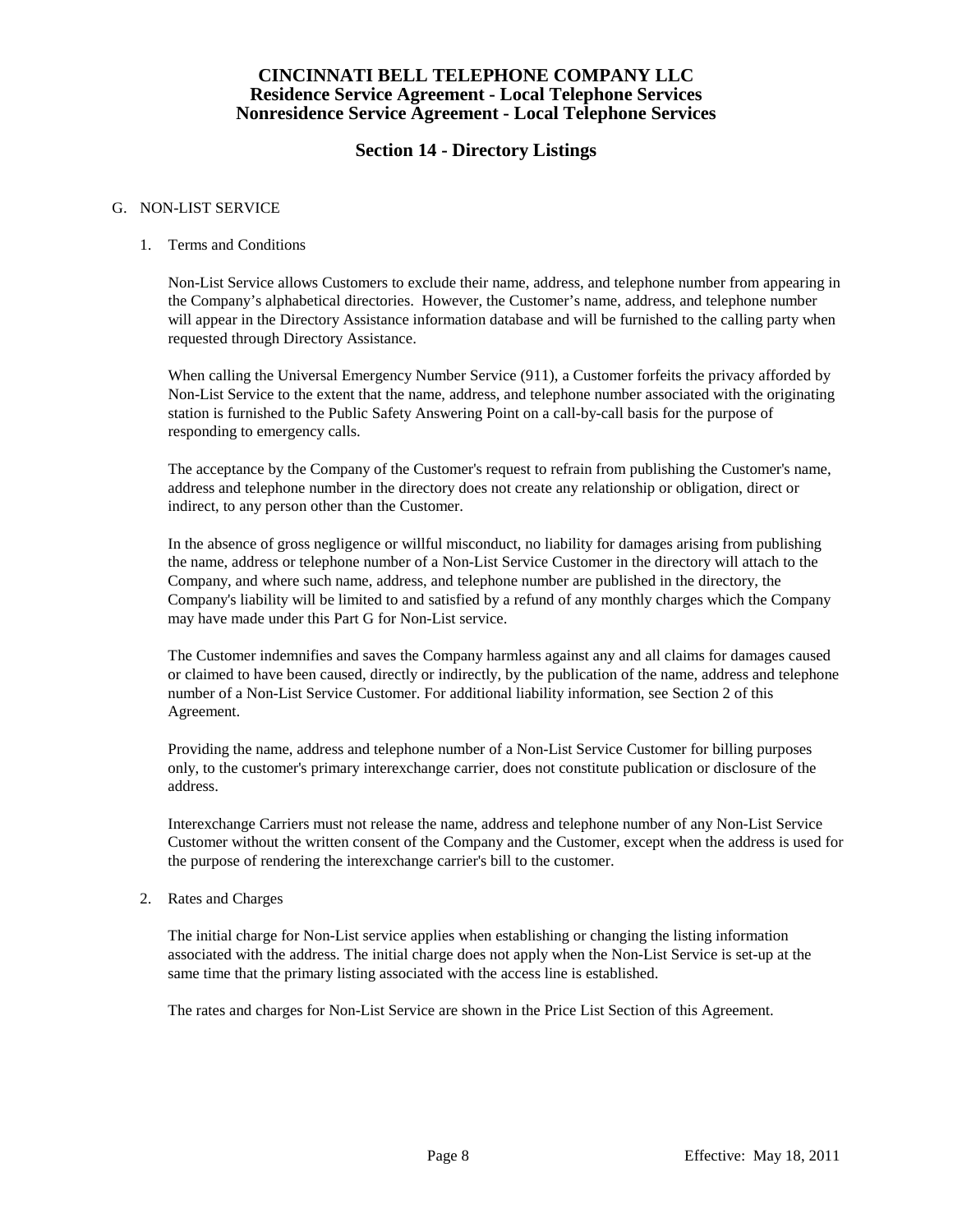# **Section 14 - Directory Listings**

### G. NON-LIST SERVICE

#### 1. Terms and Conditions

Non-List Service allows Customers to exclude their name, address, and telephone number from appearing in the Company's alphabetical directories. However, the Customer's name, address, and telephone number will appear in the Directory Assistance information database and will be furnished to the calling party when requested through Directory Assistance.

When calling the Universal Emergency Number Service (911), a Customer forfeits the privacy afforded by Non-List Service to the extent that the name, address, and telephone number associated with the originating station is furnished to the Public Safety Answering Point on a call-by-call basis for the purpose of responding to emergency calls.

The acceptance by the Company of the Customer's request to refrain from publishing the Customer's name, address and telephone number in the directory does not create any relationship or obligation, direct or indirect, to any person other than the Customer.

In the absence of gross negligence or willful misconduct, no liability for damages arising from publishing the name, address or telephone number of a Non-List Service Customer in the directory will attach to the Company, and where such name, address, and telephone number are published in the directory, the Company's liability will be limited to and satisfied by a refund of any monthly charges which the Company may have made under this Part G for Non-List service.

The Customer indemnifies and saves the Company harmless against any and all claims for damages caused or claimed to have been caused, directly or indirectly, by the publication of the name, address and telephone number of a Non-List Service Customer. For additional liability information, see Section 2 of this Agreement.

Providing the name, address and telephone number of a Non-List Service Customer for billing purposes only, to the customer's primary interexchange carrier, does not constitute publication or disclosure of the address.

Interexchange Carriers must not release the name, address and telephone number of any Non-List Service Customer without the written consent of the Company and the Customer, except when the address is used for the purpose of rendering the interexchange carrier's bill to the customer.

#### 2. Rates and Charges

The initial charge for Non-List service applies when establishing or changing the listing information associated with the address. The initial charge does not apply when the Non-List Service is set-up at the same time that the primary listing associated with the access line is established.

The rates and charges for Non-List Service are shown in the Price List Section of this Agreement.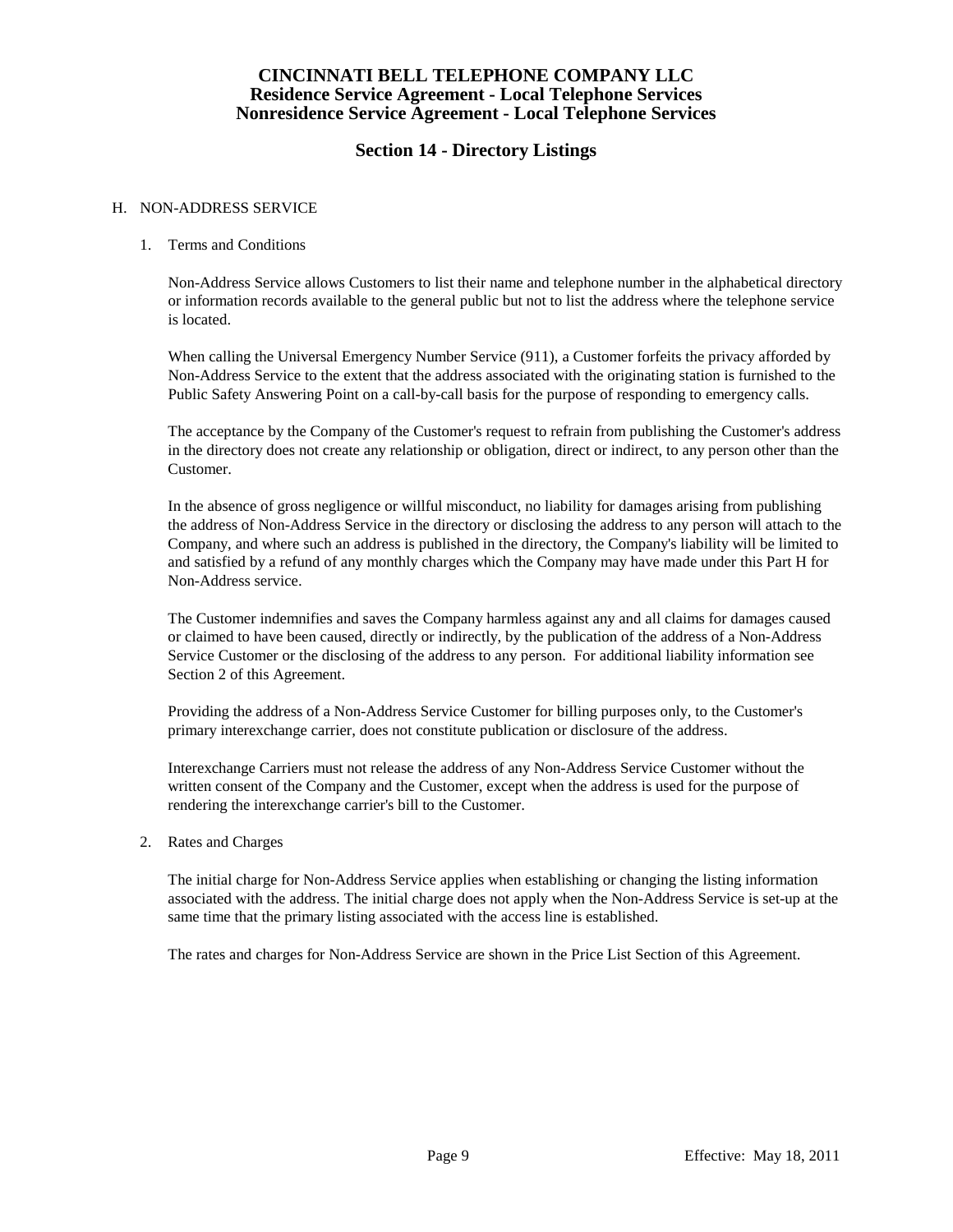# **Section 14 - Directory Listings**

#### H. NON-ADDRESS SERVICE

### 1. Terms and Conditions

Non-Address Service allows Customers to list their name and telephone number in the alphabetical directory or information records available to the general public but not to list the address where the telephone service is located.

When calling the Universal Emergency Number Service (911), a Customer forfeits the privacy afforded by Non-Address Service to the extent that the address associated with the originating station is furnished to the Public Safety Answering Point on a call-by-call basis for the purpose of responding to emergency calls.

The acceptance by the Company of the Customer's request to refrain from publishing the Customer's address in the directory does not create any relationship or obligation, direct or indirect, to any person other than the Customer.

In the absence of gross negligence or willful misconduct, no liability for damages arising from publishing the address of Non-Address Service in the directory or disclosing the address to any person will attach to the Company, and where such an address is published in the directory, the Company's liability will be limited to and satisfied by a refund of any monthly charges which the Company may have made under this Part H for Non-Address service.

The Customer indemnifies and saves the Company harmless against any and all claims for damages caused or claimed to have been caused, directly or indirectly, by the publication of the address of a Non-Address Service Customer or the disclosing of the address to any person. For additional liability information see Section 2 of this Agreement.

Providing the address of a Non-Address Service Customer for billing purposes only, to the Customer's primary interexchange carrier, does not constitute publication or disclosure of the address.

Interexchange Carriers must not release the address of any Non-Address Service Customer without the written consent of the Company and the Customer, except when the address is used for the purpose of rendering the interexchange carrier's bill to the Customer.

#### 2. Rates and Charges

The initial charge for Non-Address Service applies when establishing or changing the listing information associated with the address. The initial charge does not apply when the Non-Address Service is set-up at the same time that the primary listing associated with the access line is established.

The rates and charges for Non-Address Service are shown in the Price List Section of this Agreement.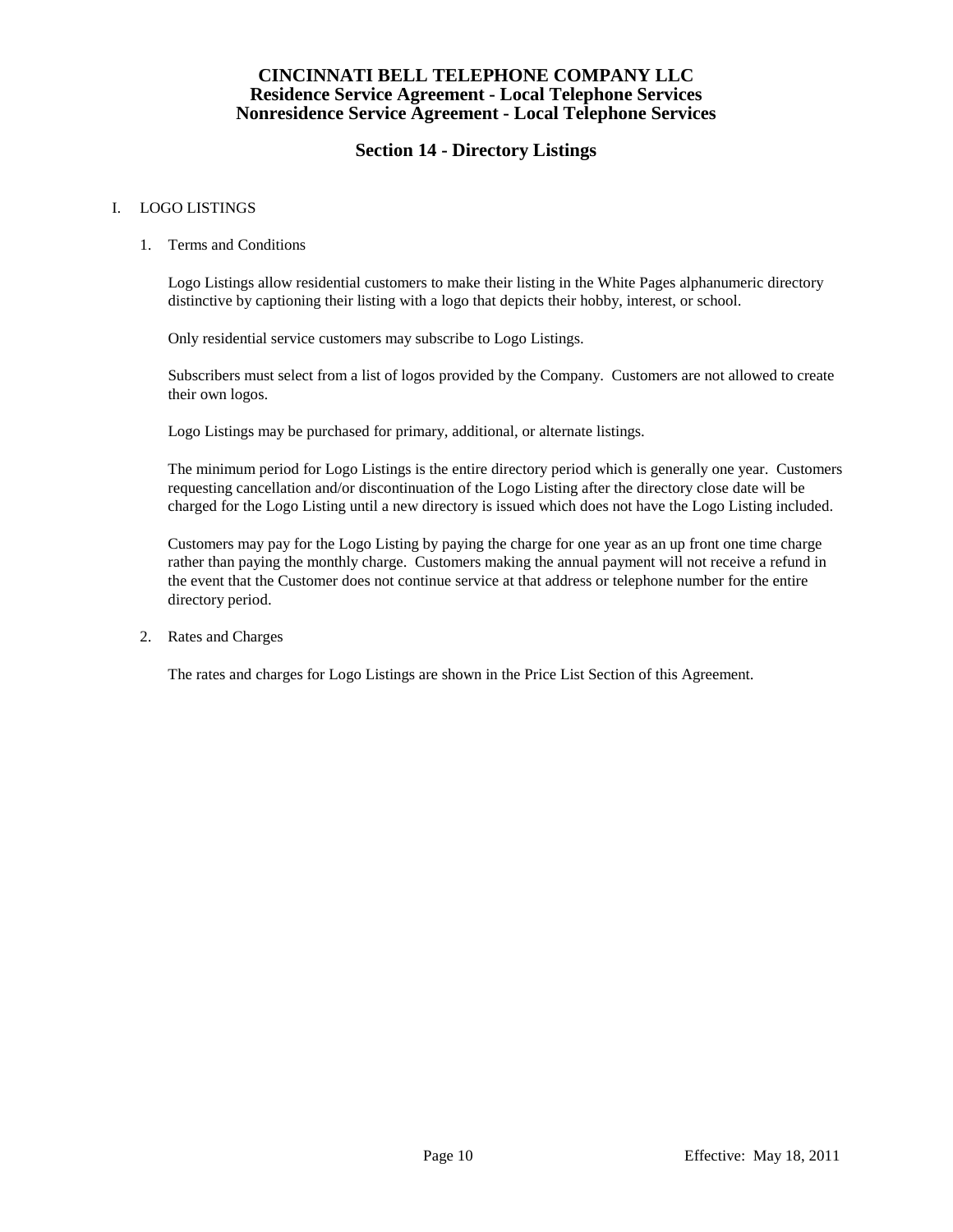# **Section 14 - Directory Listings**

### I. LOGO LISTINGS

#### 1. Terms and Conditions

Logo Listings allow residential customers to make their listing in the White Pages alphanumeric directory distinctive by captioning their listing with a logo that depicts their hobby, interest, or school.

Only residential service customers may subscribe to Logo Listings.

Subscribers must select from a list of logos provided by the Company. Customers are not allowed to create their own logos.

Logo Listings may be purchased for primary, additional, or alternate listings.

The minimum period for Logo Listings is the entire directory period which is generally one year. Customers requesting cancellation and/or discontinuation of the Logo Listing after the directory close date will be charged for the Logo Listing until a new directory is issued which does not have the Logo Listing included.

Customers may pay for the Logo Listing by paying the charge for one year as an up front one time charge rather than paying the monthly charge. Customers making the annual payment will not receive a refund in the event that the Customer does not continue service at that address or telephone number for the entire directory period.

2. Rates and Charges

The rates and charges for Logo Listings are shown in the Price List Section of this Agreement.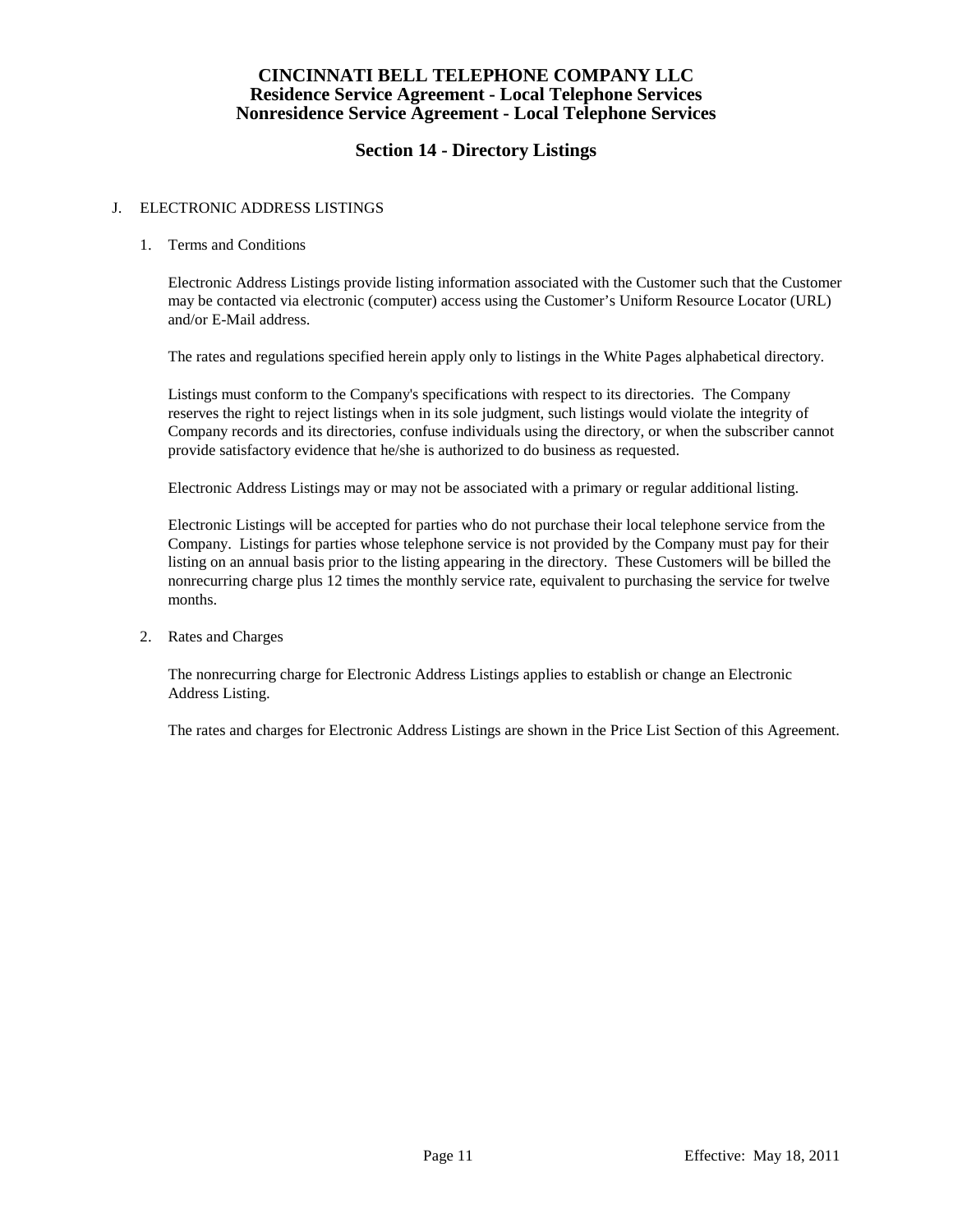# **Section 14 - Directory Listings**

### J. ELECTRONIC ADDRESS LISTINGS

#### 1. Terms and Conditions

Electronic Address Listings provide listing information associated with the Customer such that the Customer may be contacted via electronic (computer) access using the Customer's Uniform Resource Locator (URL) and/or E-Mail address.

The rates and regulations specified herein apply only to listings in the White Pages alphabetical directory.

Listings must conform to the Company's specifications with respect to its directories. The Company reserves the right to reject listings when in its sole judgment, such listings would violate the integrity of Company records and its directories, confuse individuals using the directory, or when the subscriber cannot provide satisfactory evidence that he/she is authorized to do business as requested.

Electronic Address Listings may or may not be associated with a primary or regular additional listing.

Electronic Listings will be accepted for parties who do not purchase their local telephone service from the Company. Listings for parties whose telephone service is not provided by the Company must pay for their listing on an annual basis prior to the listing appearing in the directory. These Customers will be billed the nonrecurring charge plus 12 times the monthly service rate, equivalent to purchasing the service for twelve months.

2. Rates and Charges

The nonrecurring charge for Electronic Address Listings applies to establish or change an Electronic Address Listing.

The rates and charges for Electronic Address Listings are shown in the Price List Section of this Agreement.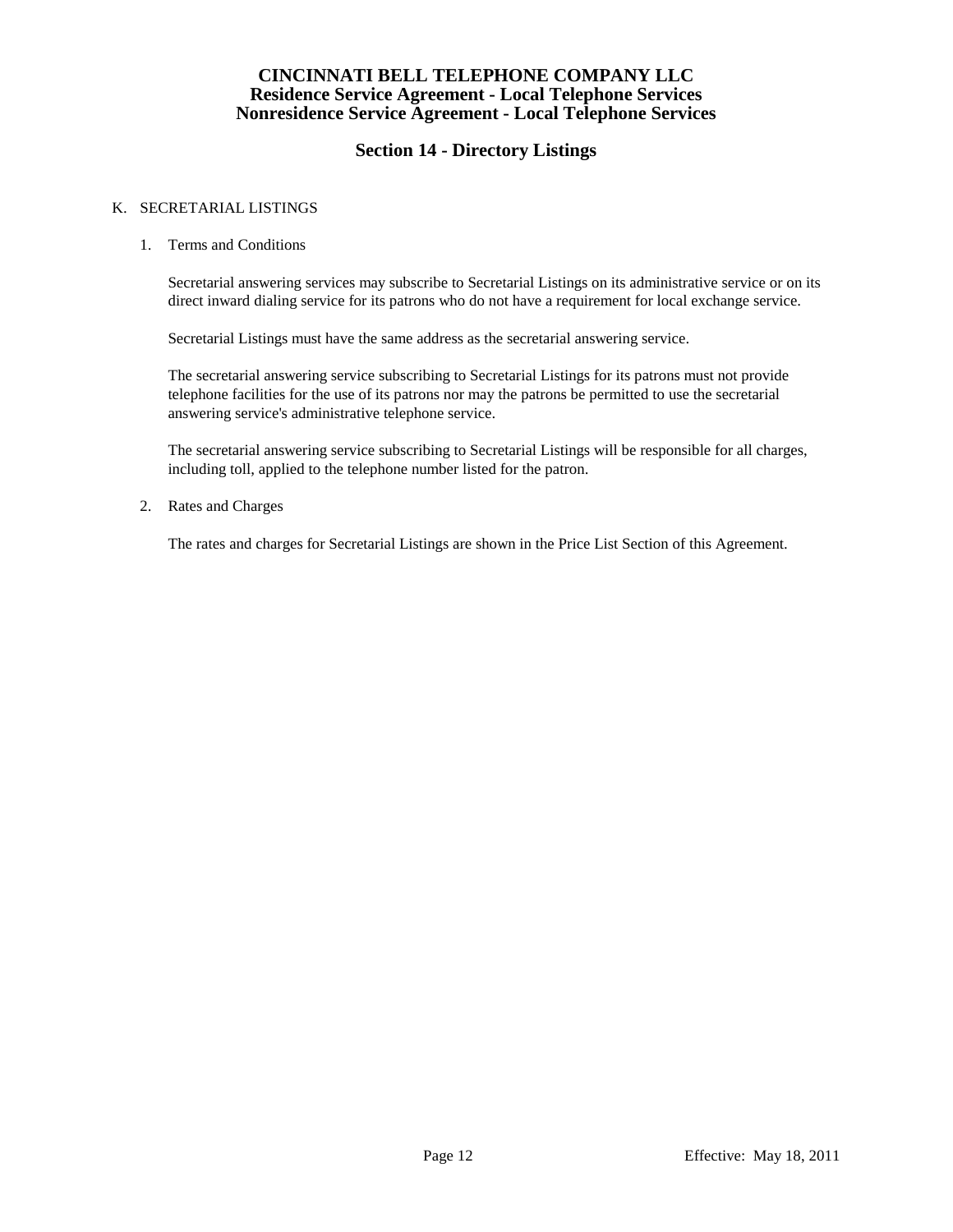# **Section 14 - Directory Listings**

### K. SECRETARIAL LISTINGS

1. Terms and Conditions

Secretarial answering services may subscribe to Secretarial Listings on its administrative service or on its direct inward dialing service for its patrons who do not have a requirement for local exchange service.

Secretarial Listings must have the same address as the secretarial answering service.

The secretarial answering service subscribing to Secretarial Listings for its patrons must not provide telephone facilities for the use of its patrons nor may the patrons be permitted to use the secretarial answering service's administrative telephone service.

The secretarial answering service subscribing to Secretarial Listings will be responsible for all charges, including toll, applied to the telephone number listed for the patron.

2. Rates and Charges

The rates and charges for Secretarial Listings are shown in the Price List Section of this Agreement.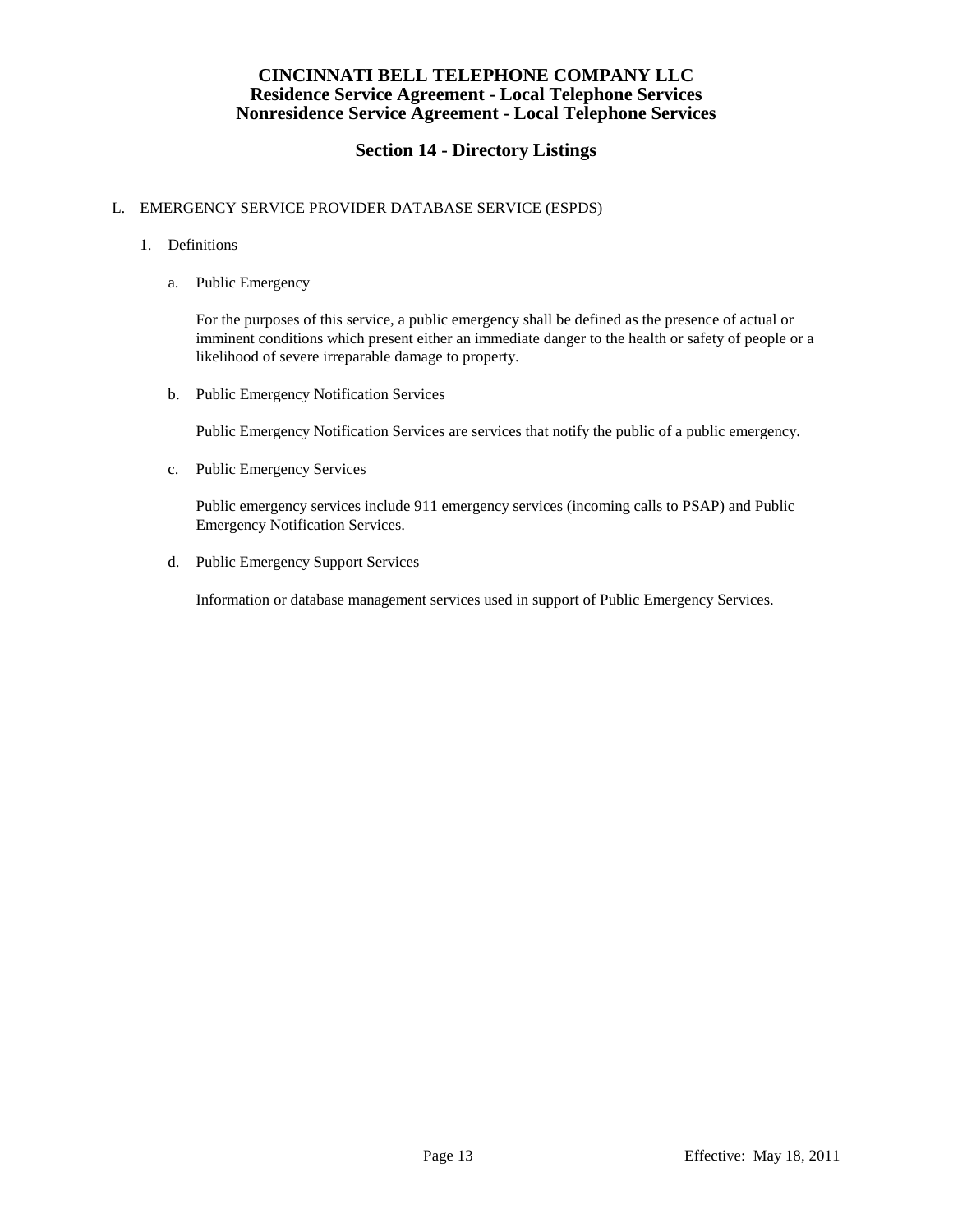# **Section 14 - Directory Listings**

### L. EMERGENCY SERVICE PROVIDER DATABASE SERVICE (ESPDS)

- 1. Definitions
	- a. Public Emergency

For the purposes of this service, a public emergency shall be defined as the presence of actual or imminent conditions which present either an immediate danger to the health or safety of people or a likelihood of severe irreparable damage to property.

b. Public Emergency Notification Services

Public Emergency Notification Services are services that notify the public of a public emergency.

c. Public Emergency Services

Public emergency services include 911 emergency services (incoming calls to PSAP) and Public Emergency Notification Services.

d. Public Emergency Support Services

Information or database management services used in support of Public Emergency Services.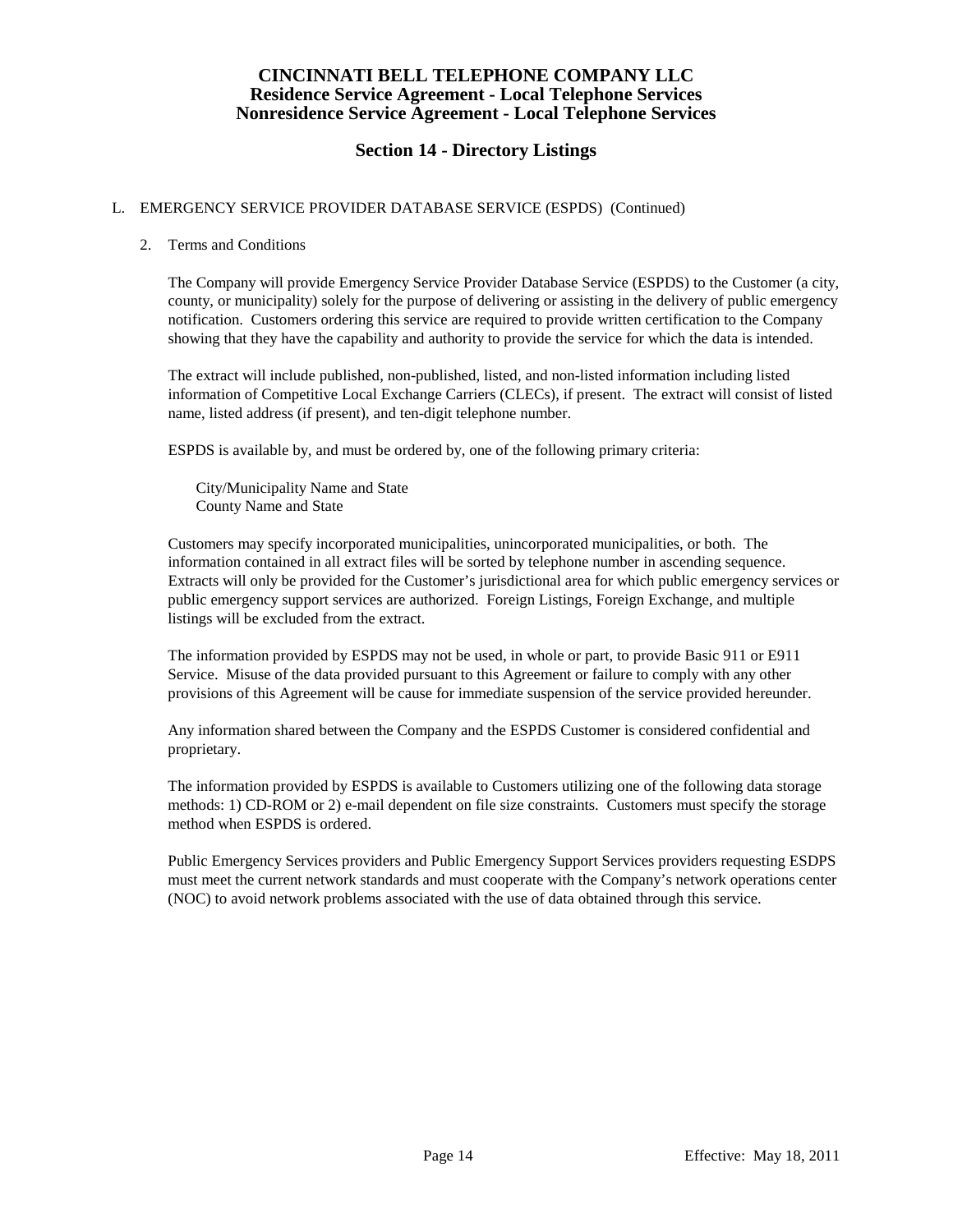# **Section 14 - Directory Listings**

### L. EMERGENCY SERVICE PROVIDER DATABASE SERVICE (ESPDS) (Continued)

### 2. Terms and Conditions

The Company will provide Emergency Service Provider Database Service (ESPDS) to the Customer (a city, county, or municipality) solely for the purpose of delivering or assisting in the delivery of public emergency notification. Customers ordering this service are required to provide written certification to the Company showing that they have the capability and authority to provide the service for which the data is intended.

The extract will include published, non-published, listed, and non-listed information including listed information of Competitive Local Exchange Carriers (CLECs), if present. The extract will consist of listed name, listed address (if present), and ten-digit telephone number.

ESPDS is available by, and must be ordered by, one of the following primary criteria:

City/Municipality Name and State County Name and State

Customers may specify incorporated municipalities, unincorporated municipalities, or both. The information contained in all extract files will be sorted by telephone number in ascending sequence. Extracts will only be provided for the Customer's jurisdictional area for which public emergency services or public emergency support services are authorized. Foreign Listings, Foreign Exchange, and multiple listings will be excluded from the extract.

The information provided by ESPDS may not be used, in whole or part, to provide Basic 911 or E911 Service. Misuse of the data provided pursuant to this Agreement or failure to comply with any other provisions of this Agreement will be cause for immediate suspension of the service provided hereunder.

Any information shared between the Company and the ESPDS Customer is considered confidential and proprietary.

The information provided by ESPDS is available to Customers utilizing one of the following data storage methods: 1) CD-ROM or 2) e-mail dependent on file size constraints. Customers must specify the storage method when ESPDS is ordered.

Public Emergency Services providers and Public Emergency Support Services providers requesting ESDPS must meet the current network standards and must cooperate with the Company's network operations center (NOC) to avoid network problems associated with the use of data obtained through this service.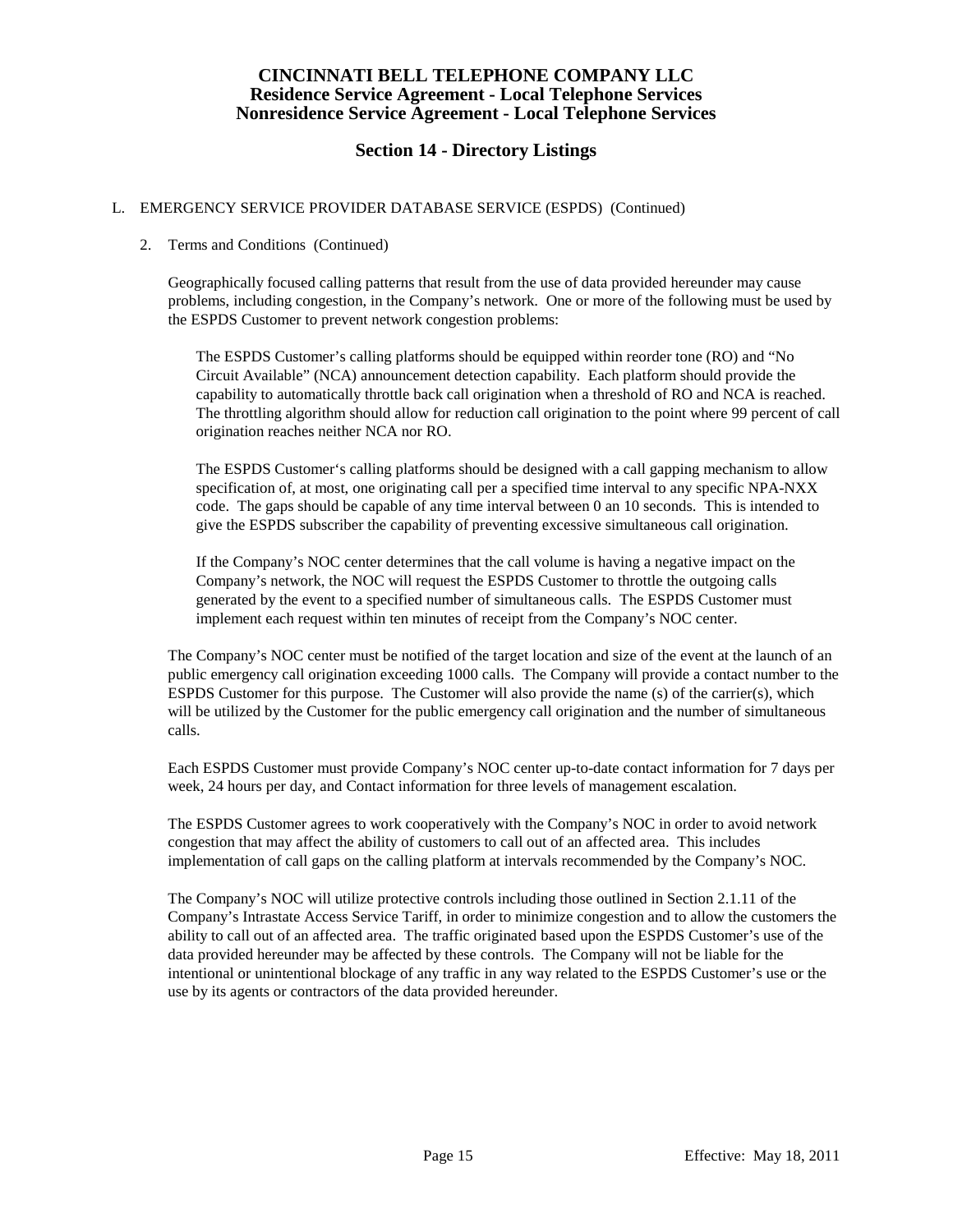# **Section 14 - Directory Listings**

### L. EMERGENCY SERVICE PROVIDER DATABASE SERVICE (ESPDS) (Continued)

#### 2. Terms and Conditions (Continued)

Geographically focused calling patterns that result from the use of data provided hereunder may cause problems, including congestion, in the Company's network. One or more of the following must be used by the ESPDS Customer to prevent network congestion problems:

The ESPDS Customer's calling platforms should be equipped within reorder tone (RO) and "No Circuit Available" (NCA) announcement detection capability. Each platform should provide the capability to automatically throttle back call origination when a threshold of RO and NCA is reached. The throttling algorithm should allow for reduction call origination to the point where 99 percent of call origination reaches neither NCA nor RO.

The ESPDS Customer's calling platforms should be designed with a call gapping mechanism to allow specification of, at most, one originating call per a specified time interval to any specific NPA-NXX code. The gaps should be capable of any time interval between 0 an 10 seconds. This is intended to give the ESPDS subscriber the capability of preventing excessive simultaneous call origination.

If the Company's NOC center determines that the call volume is having a negative impact on the Company's network, the NOC will request the ESPDS Customer to throttle the outgoing calls generated by the event to a specified number of simultaneous calls. The ESPDS Customer must implement each request within ten minutes of receipt from the Company's NOC center.

The Company's NOC center must be notified of the target location and size of the event at the launch of an public emergency call origination exceeding 1000 calls. The Company will provide a contact number to the ESPDS Customer for this purpose. The Customer will also provide the name (s) of the carrier(s), which will be utilized by the Customer for the public emergency call origination and the number of simultaneous calls.

Each ESPDS Customer must provide Company's NOC center up-to-date contact information for 7 days per week, 24 hours per day, and Contact information for three levels of management escalation.

The ESPDS Customer agrees to work cooperatively with the Company's NOC in order to avoid network congestion that may affect the ability of customers to call out of an affected area. This includes implementation of call gaps on the calling platform at intervals recommended by the Company's NOC.

The Company's NOC will utilize protective controls including those outlined in Section 2.1.11 of the Company's Intrastate Access Service Tariff, in order to minimize congestion and to allow the customers the ability to call out of an affected area. The traffic originated based upon the ESPDS Customer's use of the data provided hereunder may be affected by these controls. The Company will not be liable for the intentional or unintentional blockage of any traffic in any way related to the ESPDS Customer's use or the use by its agents or contractors of the data provided hereunder.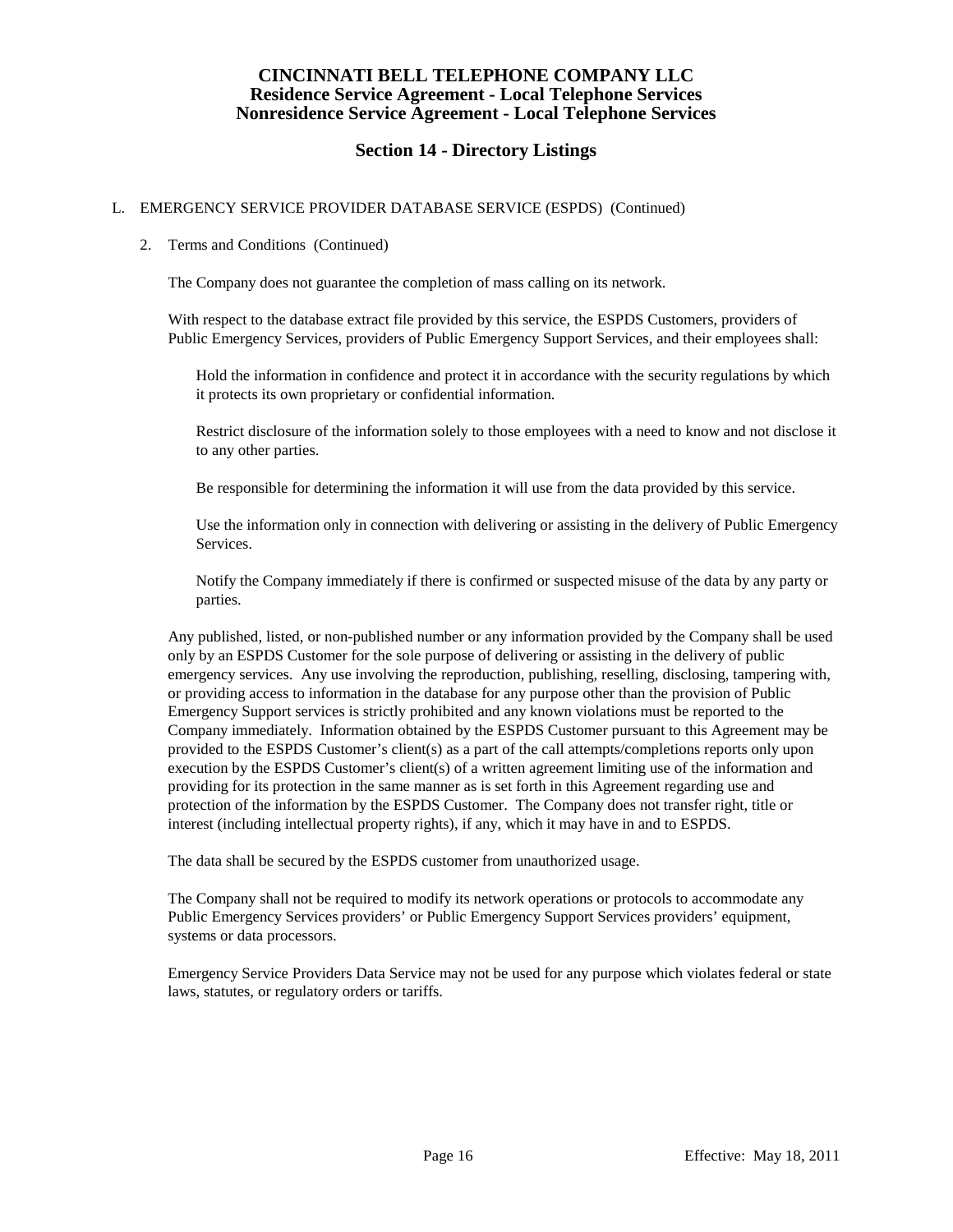# **Section 14 - Directory Listings**

### L. EMERGENCY SERVICE PROVIDER DATABASE SERVICE (ESPDS) (Continued)

#### 2. Terms and Conditions (Continued)

The Company does not guarantee the completion of mass calling on its network.

With respect to the database extract file provided by this service, the ESPDS Customers, providers of Public Emergency Services, providers of Public Emergency Support Services, and their employees shall:

Hold the information in confidence and protect it in accordance with the security regulations by which it protects its own proprietary or confidential information.

Restrict disclosure of the information solely to those employees with a need to know and not disclose it to any other parties.

Be responsible for determining the information it will use from the data provided by this service.

Use the information only in connection with delivering or assisting in the delivery of Public Emergency Services.

Notify the Company immediately if there is confirmed or suspected misuse of the data by any party or parties.

Any published, listed, or non-published number or any information provided by the Company shall be used only by an ESPDS Customer for the sole purpose of delivering or assisting in the delivery of public emergency services. Any use involving the reproduction, publishing, reselling, disclosing, tampering with, or providing access to information in the database for any purpose other than the provision of Public Emergency Support services is strictly prohibited and any known violations must be reported to the Company immediately. Information obtained by the ESPDS Customer pursuant to this Agreement may be provided to the ESPDS Customer's client(s) as a part of the call attempts/completions reports only upon execution by the ESPDS Customer's client(s) of a written agreement limiting use of the information and providing for its protection in the same manner as is set forth in this Agreement regarding use and protection of the information by the ESPDS Customer. The Company does not transfer right, title or interest (including intellectual property rights), if any, which it may have in and to ESPDS.

The data shall be secured by the ESPDS customer from unauthorized usage.

The Company shall not be required to modify its network operations or protocols to accommodate any Public Emergency Services providers' or Public Emergency Support Services providers' equipment, systems or data processors.

Emergency Service Providers Data Service may not be used for any purpose which violates federal or state laws, statutes, or regulatory orders or tariffs.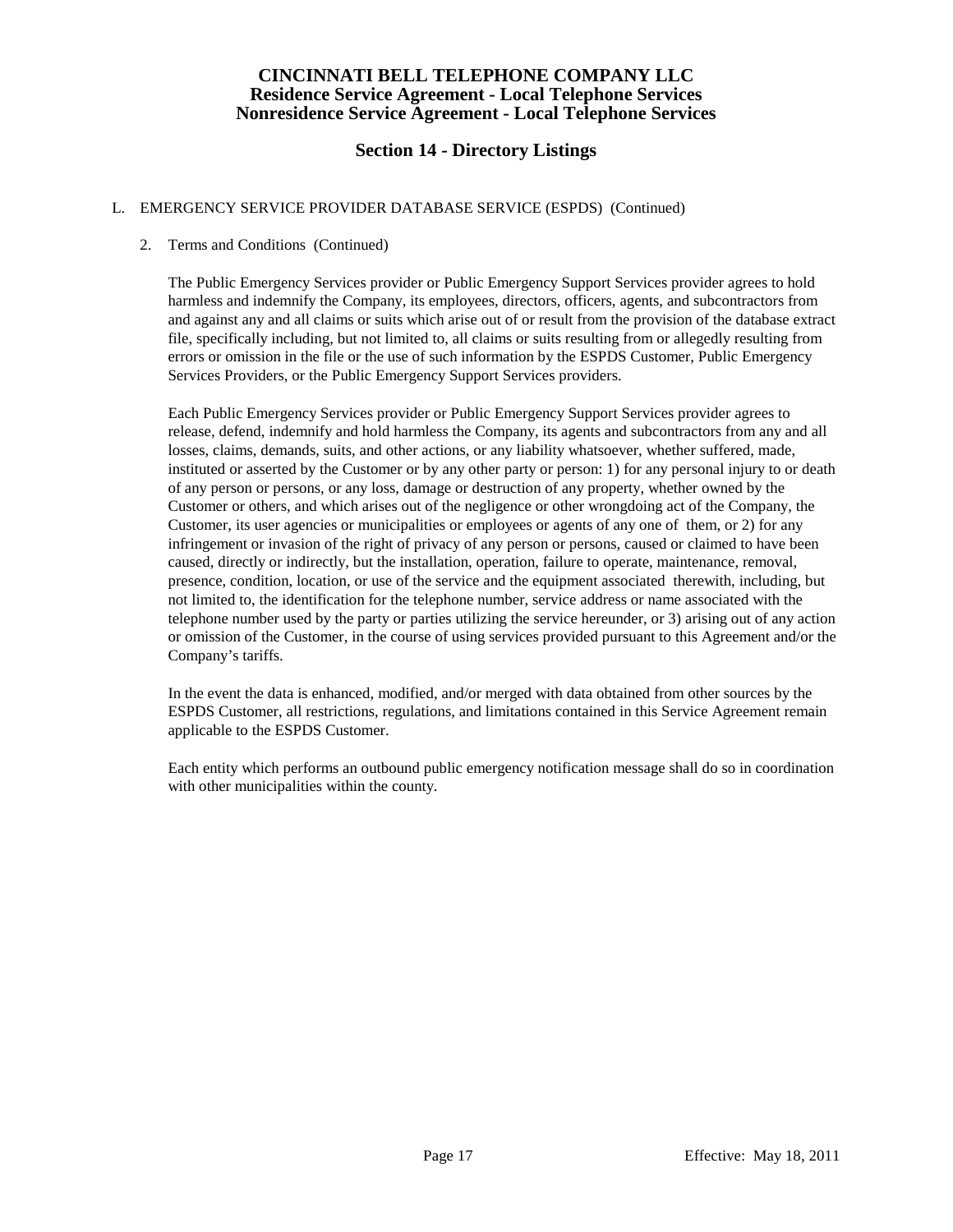# **Section 14 - Directory Listings**

### L. EMERGENCY SERVICE PROVIDER DATABASE SERVICE (ESPDS) (Continued)

### 2. Terms and Conditions (Continued)

The Public Emergency Services provider or Public Emergency Support Services provider agrees to hold harmless and indemnify the Company, its employees, directors, officers, agents, and subcontractors from and against any and all claims or suits which arise out of or result from the provision of the database extract file, specifically including, but not limited to, all claims or suits resulting from or allegedly resulting from errors or omission in the file or the use of such information by the ESPDS Customer, Public Emergency Services Providers, or the Public Emergency Support Services providers.

Each Public Emergency Services provider or Public Emergency Support Services provider agrees to release, defend, indemnify and hold harmless the Company, its agents and subcontractors from any and all losses, claims, demands, suits, and other actions, or any liability whatsoever, whether suffered, made, instituted or asserted by the Customer or by any other party or person: 1) for any personal injury to or death of any person or persons, or any loss, damage or destruction of any property, whether owned by the Customer or others, and which arises out of the negligence or other wrongdoing act of the Company, the Customer, its user agencies or municipalities or employees or agents of any one of them, or 2) for any infringement or invasion of the right of privacy of any person or persons, caused or claimed to have been caused, directly or indirectly, but the installation, operation, failure to operate, maintenance, removal, presence, condition, location, or use of the service and the equipment associated therewith, including, but not limited to, the identification for the telephone number, service address or name associated with the telephone number used by the party or parties utilizing the service hereunder, or 3) arising out of any action or omission of the Customer, in the course of using services provided pursuant to this Agreement and/or the Company's tariffs.

In the event the data is enhanced, modified, and/or merged with data obtained from other sources by the ESPDS Customer, all restrictions, regulations, and limitations contained in this Service Agreement remain applicable to the ESPDS Customer.

Each entity which performs an outbound public emergency notification message shall do so in coordination with other municipalities within the county.